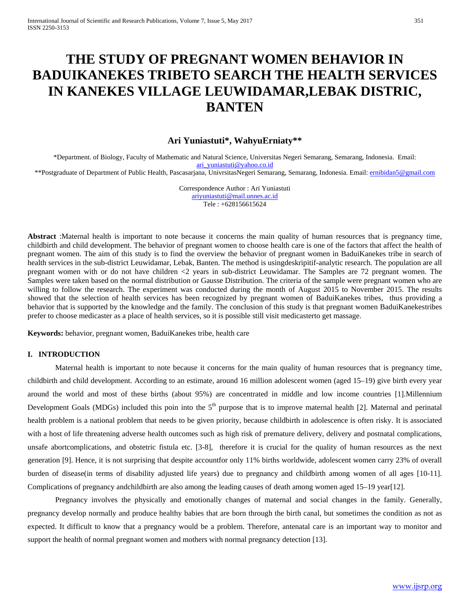# **THE STUDY OF PREGNANT WOMEN BEHAVIOR IN BADUIKANEKES TRIBETO SEARCH THE HEALTH SERVICES IN KANEKES VILLAGE LEUWIDAMAR,LEBAK DISTRIC, BANTEN**

## **Ari Yuniastuti\*, WahyuErniaty\*\***

\*Department. of Biology, Faculty of Mathematic and Natural Science, Universitas Negeri Semarang, Semarang, Indonesia. Email: [ari\\_yuniastuti@yahoo.co.id](mailto:ari_yuniastuti@yahoo.co.id) \*\*Postgraduate of Department of Public Health, Pascasarjana, UnivrsitasNegeri Semarang, Semarang, Indonesia. Email: [ernibidan5@gmail.com](mailto:ernibidan5@gmail.com)

> Correspondence Author : Ari Yuniastuti [ariyuniastuti@mail.unnes.ac.id](mailto:ariyuniastuti@mail.unnes.ac.id) Tele : +628156615624

**Abstract** :Maternal health is important to note because it concerns the main quality of human resources that is pregnancy time, childbirth and child development. The behavior of pregnant women to choose health care is one of the factors that affect the health of pregnant women. The aim of this study is to find the overview the behavior of pregnant women in BaduiKanekes tribe in search of health services in the sub-district Leuwidamar, Lebak, Banten. The method is usingdeskripitif-analytic research. The population are all pregnant women with or do not have children <2 years in sub-district Leuwidamar. The Samples are 72 pregnant women. The Samples were taken based on the normal distribution or Gausse Distribution. The criteria of the sample were pregnant women who are willing to follow the research. The experiment was conducted during the month of August 2015 to November 2015. The results showed that the selection of health services has been recognized by pregnant women of BaduiKanekes tribes, thus providing a behavior that is supported by the knowledge and the family. The conclusion of this study is that pregnant women BaduiKanekestribes prefer to choose medicaster as a place of health services, so it is possible still visit medicasterto get massage.

**Keywords:** behavior, pregnant women, BaduiKanekes tribe, health care

## **I. INTRODUCTION**

Maternal health is important to note because it concerns for the main quality of human resources that is pregnancy time, childbirth and child development. According to an estimate, around 16 million adolescent women (aged 15–19) give birth every year around the world and most of these births (about 95%) are concentrated in middle and low income countries [1].Millennium Development Goals (MDGs) included this poin into the  $5<sup>th</sup>$  purpose that is to improve maternal health [2]. Maternal and perinatal health problem is a national problem that needs to be given priority, because childbirth in adolescence is often risky. It is associated with a host of life threatening adverse health outcomes such as high risk of premature delivery, delivery and postnatal complications, unsafe abortcomplications, and obstetric fistula etc. [3-8], therefore it is crucial for the quality of human resources as the next generation [9]. Hence, it is not surprising that despite accountfor only 11% births worldwide, adolescent women carry 23% of overall burden of disease(in terms of disability adjusted life years) due to pregnancy and childbirth among women of all ages [10-11]. Complications of pregnancy andchildbirth are also among the leading causes of death among women aged 15–19 year[12].

Pregnancy involves the physically and emotionally changes of maternal and social changes in the family. Generally, pregnancy develop normally and produce healthy babies that are born through the birth canal, but sometimes the condition as not as expected. It difficult to know that a pregnancy would be a problem. Therefore, antenatal care is an important way to monitor and support the health of normal pregnant women and mothers with normal pregnancy detection [13].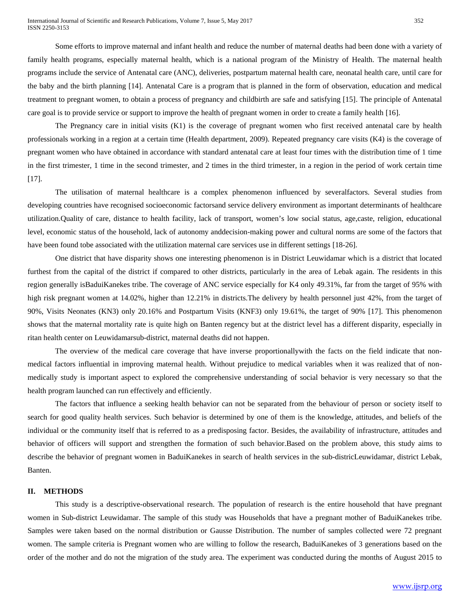Some efforts to improve maternal and infant health and reduce the number of maternal deaths had been done with a variety of family health programs, especially maternal health, which is a national program of the Ministry of Health. The maternal health programs include the service of Antenatal care (ANC), deliveries, postpartum maternal health care, neonatal health care, until care for the baby and the birth planning [14]. Antenatal Care is a program that is planned in the form of observation, education and medical treatment to pregnant women, to obtain a process of pregnancy and childbirth are safe and satisfying [15]. The principle of Antenatal care goal is to provide service or support to improve the health of pregnant women in order to create a family health [16].

The Pregnancy care in initial visits (K1) is the coverage of pregnant women who first received antenatal care by health professionals working in a region at a certain time (Health department, 2009). Repeated pregnancy care visits (K4) is the coverage of pregnant women who have obtained in accordance with standard antenatal care at least four times with the distribution time of 1 time in the first trimester, 1 time in the second trimester, and 2 times in the third trimester, in a region in the period of work certain time [17].

The utilisation of maternal healthcare is a complex phenomenon influenced by severalfactors. Several studies from developing countries have recognised socioeconomic factorsand service delivery environment as important determinants of healthcare utilization.Quality of care, distance to health facility, lack of transport, women's low social status, age,caste, religion, educational level, economic status of the household, lack of autonomy anddecision-making power and cultural norms are some of the factors that have been found tobe associated with the utilization maternal care services use in different settings [18-26].

One district that have disparity shows one interesting phenomenon is in District Leuwidamar which is a district that located furthest from the capital of the district if compared to other districts, particularly in the area of Lebak again. The residents in this region generally isBaduiKanekes tribe. The coverage of ANC service especially for K4 only 49.31%, far from the target of 95% with high risk pregnant women at 14.02%, higher than 12.21% in districts. The delivery by health personnel just 42%, from the target of 90%, Visits Neonates (KN3) only 20.16% and Postpartum Visits (KNF3) only 19.61%, the target of 90% [17]. This phenomenon shows that the maternal mortality rate is quite high on Banten regency but at the district level has a different disparity, especially in ritan health center on Leuwidamarsub-district, maternal deaths did not happen.

The overview of the medical care coverage that have inverse proportionallywith the facts on the field indicate that nonmedical factors influential in improving maternal health. Without prejudice to medical variables when it was realized that of nonmedically study is important aspect to explored the comprehensive understanding of social behavior is very necessary so that the health program launched can run effectively and efficiently.

The factors that influence a seeking health behavior can not be separated from the behaviour of person or society itself to search for good quality health services. Such behavior is determined by one of them is the knowledge, attitudes, and beliefs of the individual or the community itself that is referred to as a predisposing factor. Besides, the availability of infrastructure, attitudes and behavior of officers will support and strengthen the formation of such behavior.Based on the problem above, this study aims to describe the behavior of pregnant women in BaduiKanekes in search of health services in the sub-districLeuwidamar, district Lebak, Banten.

#### **II. METHODS**

This study is a descriptive-observational research. The population of research is the entire household that have pregnant women in Sub-district Leuwidamar. The sample of this study was Households that have a pregnant mother of BaduiKanekes tribe. Samples were taken based on the normal distribution or Gausse Distribution. The number of samples collected were 72 pregnant women. The sample criteria is Pregnant women who are willing to follow the research, BaduiKanekes of 3 generations based on the order of the mother and do not the migration of the study area. The experiment was conducted during the months of August 2015 to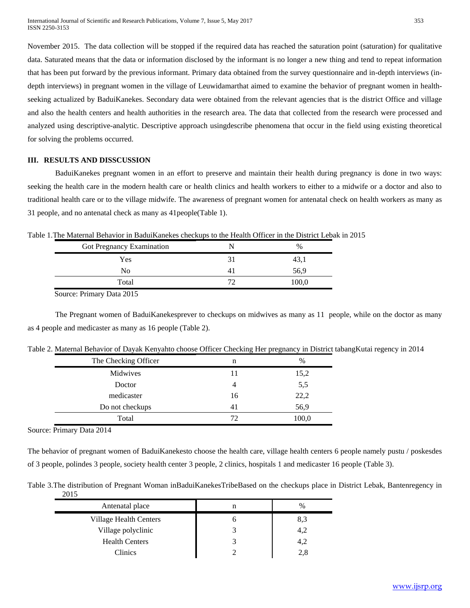November 2015. The data collection will be stopped if the required data has reached the saturation point (saturation) for qualitative data. Saturated means that the data or information disclosed by the informant is no longer a new thing and tend to repeat information that has been put forward by the previous informant. Primary data obtained from the survey questionnaire and in-depth interviews (indepth interviews) in pregnant women in the village of Leuwidamarthat aimed to examine the behavior of pregnant women in healthseeking actualized by BaduiKanekes. Secondary data were obtained from the relevant agencies that is the district Office and village and also the health centers and health authorities in the research area. The data that collected from the research were processed and analyzed using descriptive-analytic. Descriptive approach usingdescribe phenomena that occur in the field using existing theoretical for solving the problems occurred.

### **III. RESULTS AND DISSCUSSION**

BaduiKanekes pregnant women in an effort to preserve and maintain their health during pregnancy is done in two ways: seeking the health care in the modern health care or health clinics and health workers to either to a midwife or a doctor and also to traditional health care or to the village midwife. The awareness of pregnant women for antenatal check on health workers as many as 31 people, and no antenatal check as many as 41people(Table 1).

| Table 1. The Maternal Behavior in BaduiKanekes checkups to the Health Officer in the District Lebak in 2015 |  |
|-------------------------------------------------------------------------------------------------------------|--|
|-------------------------------------------------------------------------------------------------------------|--|

| Got Pregnancy Examination | $\%$  |
|---------------------------|-------|
| Yes                       |       |
| No                        | 56,9  |
| Total                     | .oo.c |

Source: Primary Data 2015

The Pregnant women of BaduiKanekesprever to checkups on midwives as many as 11 people, while on the doctor as many as 4 people and medicaster as many as 16 people (Table 2).

| The Checking Officer | n  | $\%$  |
|----------------------|----|-------|
| Midwives             | 11 | 15,2  |
| Doctor               | 4  | 5,5   |
| medicaster           | 16 | 22,2  |
| Do not checkups      | 41 | 56,9  |
| Total                | 72 | 100,0 |

Table 2. Maternal Behavior of Dayak Kenyahto choose Officer Checking Her pregnancy in District tabangKutai regency in 2014

Source: Primary Data 2014

The behavior of pregnant women of BaduiKanekesto choose the health care, village health centers 6 people namely pustu / poskesdes of 3 people, polindes 3 people, society health center 3 people, 2 clinics, hospitals 1 and medicaster 16 people (Table 3).

Table 3.The distribution of Pregnant Woman inBaduiKanekesTribeBased on the checkups place in District Lebak, Bantenregency in 2015

| Antenatal place        | n | $\%$ |
|------------------------|---|------|
| Village Health Centers |   | 8,3  |
| Village polyclinic     |   | 4,2  |
| <b>Health Centers</b>  |   | 4,2  |
| Clinics                |   | 2,8  |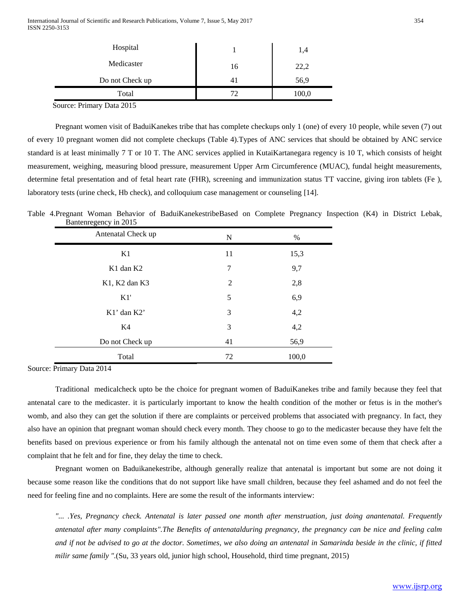| Hospital               |    | 1,4   |
|------------------------|----|-------|
| Medicaster             | 16 | 22,2  |
| Do not Check up        | 41 | 56,9  |
| Total                  | 72 | 100,0 |
| - -<br>$  -$<br>$\sim$ |    |       |

Source: Primary Data 2015

Pregnant women visit of BaduiKanekes tribe that has complete checkups only 1 (one) of every 10 people, while seven (7) out of every 10 pregnant women did not complete checkups (Table 4).Types of ANC services that should be obtained by ANC service standard is at least minimally 7 T or 10 T. The ANC services applied in KutaiKartanegara regency is 10 T, which consists of height measurement, weighing, measuring blood pressure, measurement Upper Arm Circumference (MUAC), fundal height measurements, determine fetal presentation and of fetal heart rate (FHR), screening and immunization status TT vaccine, giving iron tablets (Fe ), laboratory tests (urine check, Hb check), and colloquium case management or counseling [14].

Table 4.Pregnant Woman Behavior of BaduiKanekestribeBased on Complete Pregnancy Inspection (K4) in District Lebak, Bantenregency in 2015

| Antenatal Check up                | N  | $\%$  |
|-----------------------------------|----|-------|
| K1                                | 11 | 15,3  |
| K <sub>1</sub> dan K <sub>2</sub> | 7  | 9,7   |
| K1, K2 dan K3                     | 2  | 2,8   |
| K1'                               | 5  | 6,9   |
| $K1'$ dan $K2'$                   | 3  | 4,2   |
| K4                                | 3  | 4,2   |
| Do not Check up                   | 41 | 56,9  |
| Total                             | 72 | 100,0 |

Source: Primary Data 2014

Traditional medicalcheck upto be the choice for pregnant women of BaduiKanekes tribe and family because they feel that antenatal care to the medicaster. it is particularly important to know the health condition of the mother or fetus is in the mother's womb, and also they can get the solution if there are complaints or perceived problems that associated with pregnancy. In fact, they also have an opinion that pregnant woman should check every month. They choose to go to the medicaster because they have felt the benefits based on previous experience or from his family although the antenatal not on time even some of them that check after a complaint that he felt and for fine, they delay the time to check.

Pregnant women on Baduikanekestribe, although generally realize that antenatal is important but some are not doing it because some reason like the conditions that do not support like have small children, because they feel ashamed and do not feel the need for feeling fine and no complaints. Here are some the result of the informants interview:

*"... .Yes, Pregnancy check. Antenatal is later passed one month after menstruation, just doing anantenatal. Frequently antenatal after many complaints".The Benefits of antenatalduring pregnancy, the pregnancy can be nice and feeling calm and if not be advised to go at the doctor. Sometimes, we also doing an antenatal in Samarinda beside in the clinic, if fitted milir same family ".*(Su, 33 years old, junior high school, Household, third time pregnant, 2015)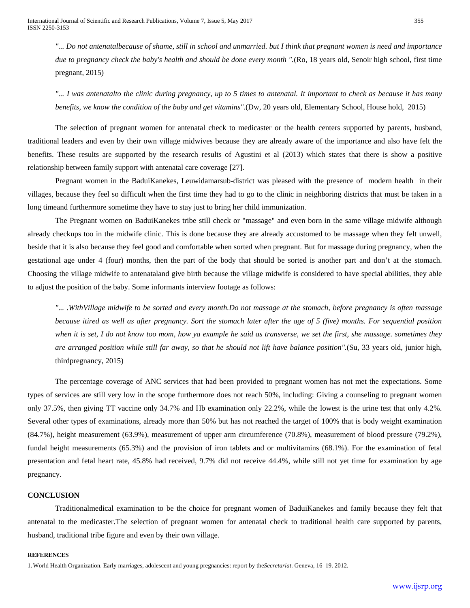*"... Do not antenatalbecause of shame, still in school and unmarried. but I think that pregnant women is need and importance due to pregnancy check the baby's health and should be done every month ".*(Ro, 18 years old, Senoir high school, first time pregnant, 2015)

*"... I was antenatalto the clinic during pregnancy, up to 5 times to antenatal. It important to check as because it has many benefits, we know the condition of the baby and get vitamins".*(Dw, 20 years old, Elementary School, House hold, 2015)

The selection of pregnant women for antenatal check to medicaster or the health centers supported by parents, husband, traditional leaders and even by their own village midwives because they are already aware of the importance and also have felt the benefits. These results are supported by the research results of Agustini et al (2013) which states that there is show a positive relationship between family support with antenatal care coverage [27].

Pregnant women in the BaduiKanekes, Leuwidamarsub-district was pleased with the presence of modern health in their villages, because they feel so difficult when the first time they had to go to the clinic in neighboring districts that must be taken in a long timeand furthermore sometime they have to stay just to bring her child immunization.

The Pregnant women on BaduiKanekes tribe still check or "massage" and even born in the same village midwife although already checkups too in the midwife clinic. This is done because they are already accustomed to be massage when they felt unwell, beside that it is also because they feel good and comfortable when sorted when pregnant. But for massage during pregnancy, when the gestational age under 4 (four) months, then the part of the body that should be sorted is another part and don't at the stomach. Choosing the village midwife to antenataland give birth because the village midwife is considered to have special abilities, they able to adjust the position of the baby. Some informants interview footage as follows:

*"... .WithVillage midwife to be sorted and every month.Do not massage at the stomach, before pregnancy is often massage because itired as well as after pregnancy. Sort the stomach later after the age of 5 (five) months. For sequential position when it is set, I do not know too mom, how ya example he said as transverse, we set the first, she massage. sometimes they are arranged position while still far away, so that he should not lift have balance position".*(Su, 33 years old, junior high, thirdpregnancy, 2015)

The percentage coverage of ANC services that had been provided to pregnant women has not met the expectations. Some types of services are still very low in the scope furthermore does not reach 50%, including: Giving a counseling to pregnant women only 37.5%, then giving TT vaccine only 34.7% and Hb examination only 22.2%, while the lowest is the urine test that only 4.2%. Several other types of examinations, already more than 50% but has not reached the target of 100% that is body weight examination (84.7%), height measurement (63.9%), measurement of upper arm circumference (70.8%), measurement of blood pressure (79.2%), fundal height measurements (65.3%) and the provision of iron tablets and or multivitamins (68.1%). For the examination of fetal presentation and fetal heart rate, 45.8% had received, 9.7% did not receive 44.4%, while still not yet time for examination by age pregnancy.

### **CONCLUSION**

Traditionalmedical examination to be the choice for pregnant women of BaduiKanekes and family because they felt that antenatal to the medicaster.The selection of pregnant women for antenatal check to traditional health care supported by parents, husband, traditional tribe figure and even by their own village.

#### **REFERENCES**

1.World Health Organization. Early marriages, adolescent and young pregnancies: report by the*Secretariat*. Geneva, 16–19. 2012.